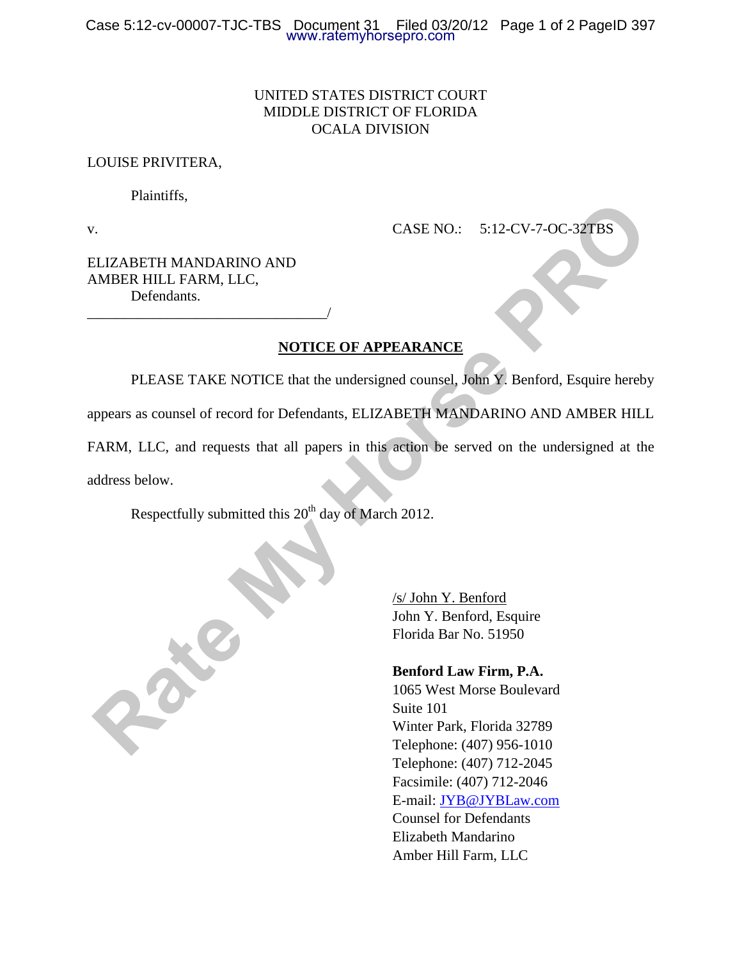# UNITED STATES DISTRICT COURT MIDDLE DISTRICT OF FLORIDA OCALA DIVISION

#### LOUISE PRIVITERA,

Plaintiffs,

v. **CASE NO.:** 5:12-CV-7-OC-32TBS

ELIZABETH MANDARINO AND AMBER HILL FARM, LLC, Defendants.

\_\_\_\_\_\_\_\_\_\_\_\_\_\_\_\_\_\_\_\_\_\_\_\_\_\_\_\_\_\_\_\_\_/

# **NOTICE OF APPEARANCE**

 PLEASE TAKE NOTICE that the undersigned counsel, John Y. Benford, Esquire hereby appears as counsel of record for Defendants, ELIZABETH MANDARINO AND AMBER HILL FARM, LLC, and requests that all papers in this action be served on the undersigned at the CASE NO.: 5:12-CV-7-OC-32TBS<br>
ILIZABETH MANDARINO AND<br>
IMBER HILL FARM, LLC,<br>
Defendants.<br> **RATE MY HORSE TAKE NOTICE that the undersigned counsel, John Y. Benford, Esquire hereby<br>
preases as counsed of record for Defendan** 

address below.

Respectfully submitted this  $20<sup>th</sup>$  day of March 2012.

/s/ John Y. Benford John Y. Benford, Esquire Florida Bar No. 51950

#### **Benford Law Firm, P.A.**

1065 West Morse Boulevard Suite 101 Winter Park, Florida 32789 Telephone: (407) 956-1010 Telephone: (407) 712-2045 Facsimile: (407) 712-2046 E-mail: [JYB@JYBLaw.com](mailto:JYB@JYBLaw.com) Counsel for Defendants Elizabeth Mandarino Amber Hill Farm, LLC